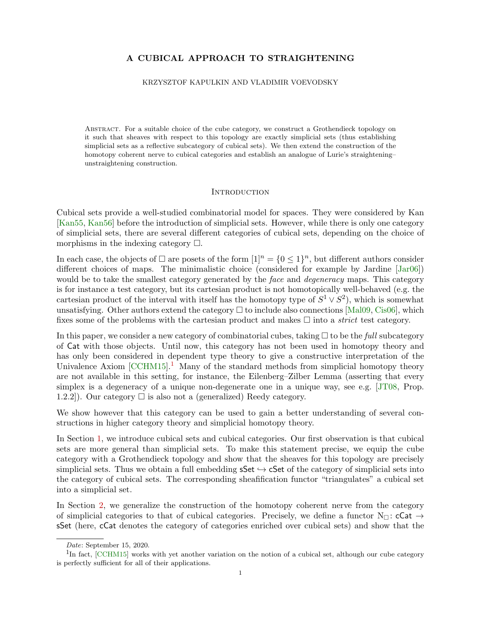# A CUBICAL APPROACH TO STRAIGHTENING

#### KRZYSZTOF KAPULKIN AND VLADIMIR VOEVODSKY

ABSTRACT. For a suitable choice of the cube category, we construct a Grothendieck topology on it such that sheaves with respect to this topology are exactly simplicial sets (thus establishing simplicial sets as a reflective subcategory of cubical sets). We then extend the construction of the homotopy coherent nerve to cubical categories and establish an analogue of Lurie's straightening– unstraightening construction.

#### **INTRODUCTION**

Cubical sets provide a well-studied combinatorial model for spaces. They were considered by Kan [\[Kan55,](#page-18-0) [Kan56\]](#page-18-1) before the introduction of simplicial sets. However, while there is only one category of simplicial sets, there are several different categories of cubical sets, depending on the choice of morphisms in the indexing category  $\square$ .

In each case, the objects of  $\Box$  are posets of the form  $[1]^n = \{0 \leq 1\}^n$ , but different authors consider different choices of maps. The minimalistic choice (considered for example by Jardine [\[Jar06\]](#page-17-0)) would be to take the smallest category generated by the *face* and *degeneracy* maps. This category is for instance a test category, but its cartesian product is not homotopically well-behaved (e.g. the cartesian product of the interval with itself has the homotopy type of  $S^1 \vee S^2$ , which is somewhat unsatisfying. Other authors extend the category  $\Box$  to include also connections [\[Mal09,](#page-18-2) [Cis06\]](#page-17-1), which fixes some of the problems with the cartesian product and makes  $\Box$  into a *strict* test category.

In this paper, we consider a new category of combinatorial cubes, taking  $\Box$  to be the *full* subcategory of Cat with those objects. Until now, this category has not been used in homotopy theory and has only been considered in dependent type theory to give a constructive interpretation of the Univalence Axiom  $[{\rm CCHM15}]$  $[{\rm CCHM15}]$  $[{\rm CCHM15}]$ <sup>1</sup>. Many of the standard methods from simplicial homotopy theory are not available in this setting, for instance, the Eilenberg–Zilber Lemma (asserting that every simplex is a degeneracy of a unique non-degenerate one in a unique way, see e.g. [\[JT08,](#page-18-3) Prop. 1.2.2]). Our category  $\Box$  is also not a (generalized) Reedy category.

We show however that this category can be used to gain a better understanding of several constructions in higher category theory and simplicial homotopy theory.

In Section [1,](#page-1-0) we introduce cubical sets and cubical categories. Our first observation is that cubical sets are more general than simplicial sets. To make this statement precise, we equip the cube category with a Grothendieck topology and show that the sheaves for this topology are precisely simplicial sets. Thus we obtain a full embedding  $\mathsf{sSet} \hookrightarrow \mathsf{cSet}$  of the category of simplicial sets into the category of cubical sets. The corresponding sheafification functor "triangulates" a cubical set into a simplicial set.

In Section [2,](#page-5-0) we generalize the construction of the homotopy coherent nerve from the category of simplicial categories to that of cubical categories. Precisely, we define a functor  $N_{\Box}$ : cCat  $\rightarrow$ sSet (here, cCat denotes the category of categories enriched over cubical sets) and show that the

<span id="page-0-0"></span>Date: September 15, 2020.

<sup>&</sup>lt;sup>1</sup>In fact, [\[CCHM15\]](#page-17-2) works with yet another variation on the notion of a cubical set, although our cube category is perfectly sufficient for all of their applications.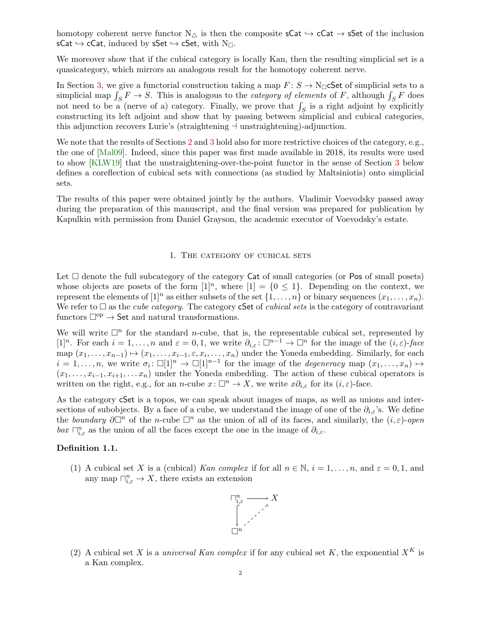homotopy coherent nerve functor  $N_{\triangle}$  is then the composite  $sCat \hookrightarrow cCat \rightarrow sSet$  of the inclusion  $sCat \hookrightarrow cCat$ , induced by  $sSet \hookrightarrow cSet$ , with N $\sqcap$ .

We moreover show that if the cubical category is locally Kan, then the resulting simplicial set is a quasicategory, which mirrors an analogous result for the homotopy coherent nerve.

In Section [3,](#page-12-0) we give a functorial construction taking a map  $F: S \to N_{\square}$  Sect of simplicial sets to a simplicial map  $\int_S F \to S$ . This is analogous to the *category of elements* of F, although  $\int_S F$  does not need to be a (nerve of a) category. Finally, we prove that  $\int_S$  is a right adjoint by explicitly constructing its left adjoint and show that by passing between simplicial and cubical categories, this adjunction recovers Lurie's (straightening  $\dashv$  unstraightening)-adjunction.

We note that the results of Sections [2](#page-5-0) and [3](#page-12-0) hold also for more restrictive choices of the category, e.g., the one of [\[Mal09\]](#page-18-2). Indeed, since this paper was first made available in 2018, its results were used to show [\[KLW19\]](#page-18-4) that the unstraightening-over-the-point functor in the sense of Section [3](#page-12-0) below defines a coreflection of cubical sets with connections (as studied by Maltsiniotis) onto simplicial sets.

The results of this paper were obtained jointly by the authors. Vladimir Voevodsky passed away during the preparation of this manuscript, and the final version was prepared for publication by Kapulkin with permission from Daniel Grayson, the academic executor of Voevodsky's estate.

### 1. THE CATEGORY OF CUBICAL SETS

<span id="page-1-0"></span>Let  $\Box$  denote the full subcategory of the category Cat of small categories (or Pos of small posets) whose objects are posets of the form  $[1]^n$ , where  $[1] = \{0 \leq 1\}$ . Depending on the context, we represent the elements of  $[1]^n$  as either subsets of the set  $\{1, \ldots, n\}$  or binary sequences  $(x_1, \ldots, x_n)$ . We refer to  $\square$  as the *cube category*. The category cSet of *cubical sets* is the category of contravariant functors  $\Box^{op} \rightarrow$  Set and natural transformations.

We will write  $\Box^n$  for the standard *n*-cube, that is, the representable cubical set, represented by [1]<sup>n</sup>. For each  $i = 1, ..., n$  and  $\varepsilon = 0, 1$ , we write  $\partial_{i,\varepsilon} : \Box^{n-1} \to \Box^n$  for the image of the  $(i,\varepsilon)$ -face map  $(x_1, \ldots, x_{n-1}) \mapsto (x_1, \ldots, x_{i-1}, \varepsilon, x_i, \ldots, x_n)$  under the Yoneda embedding. Similarly, for each  $i = 1, \ldots, n$ , we write  $\sigma_i : \Box[1]^n \to \Box[1]^{n-1}$  for the image of the *degeneracy* map  $(x_1, \ldots, x_n) \mapsto$  $(x_1, \ldots, x_{i-1}, x_{i+1}, \ldots, x_n)$  under the Yoneda embedding. The action of these cubical operators is written on the right, e.g., for an n-cube  $x: \Box^n \to X$ , we write  $x \partial_{i,\varepsilon}$  for its  $(i,\varepsilon)$ -face.

As the category cSet is a topos, we can speak about images of maps, as well as unions and intersections of subobjects. By a face of a cube, we understand the image of one of the  $\partial_{i,\varepsilon}$ 's. We define the boundary  $\partial \Box^n$  of the n-cube  $\Box^n$  as the union of all of its faces, and similarly, the  $(i, \varepsilon)$ -open box  $\bigcap_{i,\varepsilon}^n$  as the union of all the faces except the one in the image of  $\partial_{i,\varepsilon}$ .

### Definition 1.1.

(1) A cubical set X is a (cubical) Kan complex if for all  $n \in \mathbb{N}$ ,  $i = 1, \ldots, n$ , and  $\varepsilon = 0, 1$ , and any map  $\bigcap_{i,\varepsilon}^n \to X$ , there exists an extension



(2) A cubical set X is a *universal Kan complex* if for any cubical set K, the exponential  $X^K$  is a Kan complex.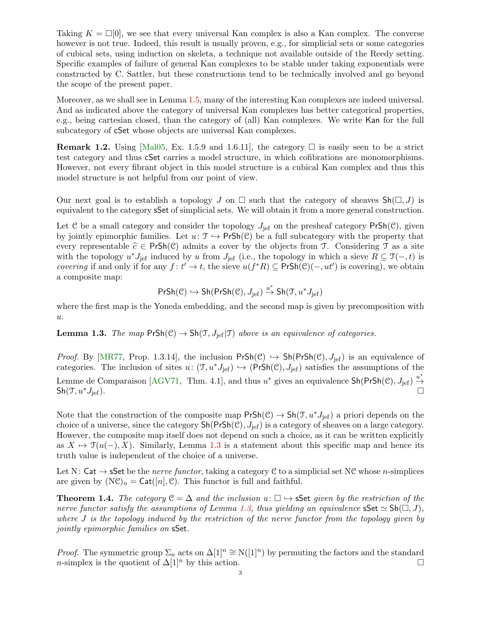Taking  $K = \Box[0]$ , we see that every universal Kan complex is also a Kan complex. The converse however is not true. Indeed, this result is usually proven, e.g., for simplicial sets or some categories of cubical sets, using induction on skeleta, a technique not available outside of the Reedy setting. Specific examples of failure of general Kan complexes to be stable under taking exponentials were constructed by C. Sattler, but these constructions tend to be technically involved and go beyond the scope of the present paper.

Moreover, as we shall see in Lemma [1.5,](#page-3-0) many of the interesting Kan complexes are indeed universal. And as indicated above the category of universal Kan complexes has better categorical properties, e.g., being cartesian closed, than the category of (all) Kan complexes. We write Kan for the full subcategory of cSet whose objects are universal Kan complexes.

**Remark 1.2.** Using [\[Mal05,](#page-18-5) Ex. 1.5.9 and 1.6.11], the category  $\Box$  is easily seen to be a strict test category and thus cSet carries a model structure, in which cofibrations are monomorphisms. However, not every fibrant object in this model structure is a cubical Kan complex and thus this model structure is not helpful from our point of view.

Our next goal is to establish a topology J on  $\Box$  such that the category of sheaves  $\text{Sh}(\Box, J)$  is equivalent to the category sSet of simplicial sets. We will obtain it from a more general construction.

Let C be a small category and consider the topology  $J_{\text{ref}}$  on the presheaf category PrSh(C), given by jointly epimorphic families. Let  $u: \mathcal{T} \hookrightarrow \mathsf{PrSh}(\mathcal{C})$  be a full subcategory with the property that every representable  $\hat{c} \in PrSh(\mathcal{C})$  admits a cover by the objects from T. Considering T as a site with the topology  $u^*J_{\text{jef}}$  induced by u from  $J_{\text{jef}}$  (i.e., the topology in which a sieve  $R \subseteq \mathfrak{I}(-,t)$  is *covering* if and only if for any  $f: t' \to t$ , the sieve  $u(f^*R) \subseteq PrSh(\mathcal{C})(-,ut')$  is covering), we obtain a composite map:

$$
\mathsf{PrSh}(\mathcal{C}) \hookrightarrow \mathsf{Sh}(\mathsf{PrSh}(\mathcal{C}), J_{\mathsf{jef}}) \xrightarrow{u^*} \mathsf{Sh}(\mathfrak{T}, u^*J_{\mathsf{jef}})
$$

where the first map is the Yoneda embedding, and the second map is given by precomposition with  $u$ .

<span id="page-2-0"></span>**Lemma 1.3.** The map  $PrSh(\mathcal{C}) \to Sh(\mathcal{T}, J_{\text{ref}} | \mathcal{T})$  above is an equivalence of categories.

*Proof.* By [\[MR77,](#page-18-6) Prop. 1.3.14], the inclusion  $PrSh(\mathcal{C}) \hookrightarrow Sh(PrSh(\mathcal{C}), J_{\text{ief}})$  is an equivalence of categories. The inclusion of sites  $u: (\mathcal{T}, u^*J_{\text{ref}}) \hookrightarrow (\text{PrSh}(\mathcal{C}), J_{\text{ref}})$  satisfies the assumptions of the Lemme de Comparaison [\[AGV71,](#page-17-3) Thm. 4.1], and thus  $u^*$  gives an equivalence  $\mathsf{Sh}(\mathsf{PrSh}(\mathcal{C}), J_{\text{jef}}) \stackrel{u^*}{\rightarrow}$  $\mathsf{Sh}(\mathfrak{I},u^*J_{\mathrm{jef}}).$ 

Note that the construction of the composite map  $PrSh(\mathcal{C}) \to Sh(\mathcal{T}, u^*J_{\text{ref}})$  a priori depends on the choice of a universe, since the category  $\text{Sh}(\text{PrSh}(\mathcal{C}), J_{\text{ref}})$  is a category of sheaves on a large category. However, the composite map itself does not depend on such a choice, as it can be written explicitly as  $X \mapsto \mathfrak{T}(u(-), X)$ . Similarly, Lemma [1.3](#page-2-0) is a statement about this specific map and hence its truth value is independent of the choice of a universe.

Let N: Cat  $\rightarrow$  sSet be the *nerve functor*, taking a category C to a simplicial set NC whose *n*-simplices are given by  $(N\mathcal{C})_n = \mathsf{Cat}([n], \mathcal{C})$ . This functor is full and faithful.

**Theorem 1.4.** The category  $\mathcal{C} = \Delta$  and the inclusion  $u : \Box \rightarrow s$  Set given by the restriction of the nerve functor satisfy the assumptions of Lemma [1.3,](#page-2-0) thus yielding an equivalence  $\textsf{SSet} \simeq \textsf{Sh}(\square, J)$ , where  $J$  is the topology induced by the restriction of the nerve functor from the topology given by jointly epimorphic families on sSet.

*Proof.* The symmetric group  $\Sigma_n$  acts on  $\Delta[1]^n \cong N([1]^n)$  by permuting the factors and the standard n-simplex is the quotient of  $\Delta[1]^n$  by this action.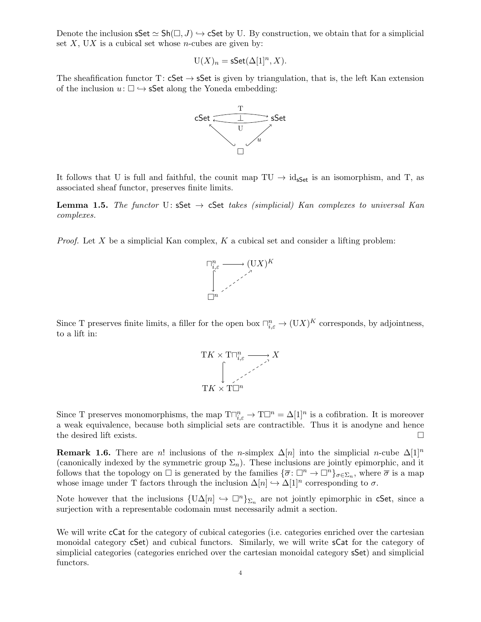Denote the inclusion  $\mathsf{sSet} \simeq \mathsf{Sh}(\square, J) \hookrightarrow \mathsf{cSet}$  by U. By construction, we obtain that for a simplicial set  $X$ , UX is a cubical set whose *n*-cubes are given by:

$$
U(X)_n = s\mathsf{Set}(\Delta[1]^n, X).
$$

The sheafification functor T:  $cSet \rightarrow SSet$  is given by triangulation, that is, the left Kan extension of the inclusion  $u: \Box \hookrightarrow sSet$  along the Yoneda embedding:



It follows that U is full and faithful, the counit map  $TU \rightarrow id_{sSet}$  is an isomorphism, and T, as associated sheaf functor, preserves finite limits.

<span id="page-3-0"></span>**Lemma 1.5.** The functor U: sSet  $\rightarrow$  cSet takes (simplicial) Kan complexes to universal Kan complexes.

*Proof.* Let X be a simplicial Kan complex,  $K$  a cubical set and consider a lifting problem:



Since T preserves finite limits, a filler for the open box  $\prod_{i,\varepsilon}^n \to (\mathbf{U}X)^K$  corresponds, by adjointness, to a lift in:



Since T preserves monomorphisms, the map  $T\Box_{i,\varepsilon}^n \to T\Box^n = \Delta[1]^n$  is a cofibration. It is moreover a weak equivalence, because both simplicial sets are contractible. Thus it is anodyne and hence the desired lift exists.  $\Box$ 

**Remark 1.6.** There are n! inclusions of the n-simplex  $\Delta[n]$  into the simplicial n-cube  $\Delta[1]^n$ (canonically indexed by the symmetric group  $\Sigma_n$ ). These inclusions are jointly epimorphic, and it follows that the topology on  $\Box$  is generated by the families  $\{\overline{\sigma} \colon \Box^n \to \Box^n\}_{\sigma \in \Sigma_n}$ , where  $\overline{\sigma}$  is a map whose image under T factors through the inclusion  $\Delta[n] \hookrightarrow \Delta[1]^n$  corresponding to  $\sigma$ .

Note however that the inclusions  $\{U\Delta[n] \leftrightarrow \Box^n\}_{\Sigma_n}$  are not jointly epimorphic in cSet, since a surjection with a representable codomain must necessarily admit a section.

We will write cCat for the category of cubical categories (i.e. categories enriched over the cartesian monoidal category cSet) and cubical functors. Similarly, we will write sCat for the category of simplicial categories (categories enriched over the cartesian monoidal category sSet) and simplicial functors.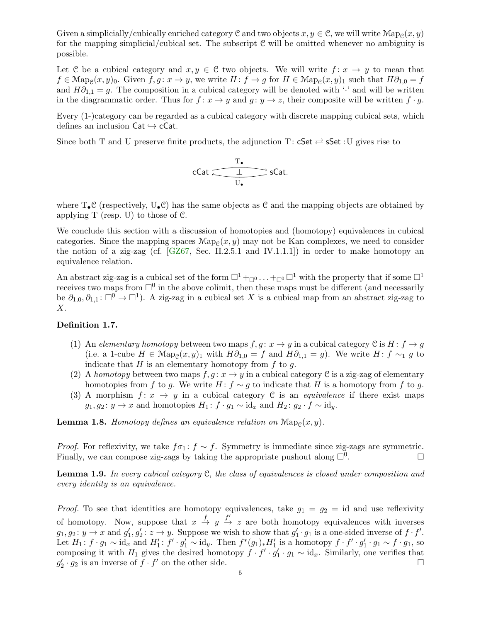Given a simplicially/cubically enriched category  $C$  and two objects  $x, y \in C$ , we will write  $\text{Map}_{\mathcal{C}}(x, y)$ for the mapping simplicial/cubical set. The subscript  $C$  will be omitted whenever no ambiguity is possible.

Let C be a cubical category and  $x, y \in C$  two objects. We will write  $f: x \to y$  to mean that  $f \in \text{Map}_{\mathcal{C}}(x, y)$ <sub>0</sub>. Given  $f, g \colon x \to y$ , we write  $H \colon f \to g$  for  $H \in \text{Map}_{\mathcal{C}}(x, y)$ <sub>1</sub> such that  $H\partial_{1,0} = f$ and  $H\partial_{1,1} = g$ . The composition in a cubical category will be denoted with '·' and will be written in the diagrammatic order. Thus for  $f: x \to y$  and  $g: y \to z$ , their composite will be written  $f \cdot g$ .

Every (1-)category can be regarded as a cubical category with discrete mapping cubical sets, which defines an inclusion  $Cat \hookrightarrow cCat$ .

Since both T and U preserve finite products, the adjunction T:  $cSet \rightleftarrows sSet : U$  gives rise to

$$
\operatorname{cCat} \xrightarrow{\text{T}_{\bullet}} \operatorname{sCat}.
$$

where  $T_{\bullet}C$  (respectively,  $U_{\bullet}C$ ) has the same objects as C and the mapping objects are obtained by applying  $T$  (resp. U) to those of  $C$ .

We conclude this section with a discussion of homotopies and (homotopy) equivalences in cubical categories. Since the mapping spaces  $\text{Map}_{\mathcal{C}}(x, y)$  may not be Kan complexes, we need to consider the notion of a zig-zag (cf.  $[GZ67, Sec. II.2.5.1 and IV.1.1.1]$  $[GZ67, Sec. II.2.5.1 and IV.1.1.1]$ ) in order to make homotopy an equivalence relation.

An abstract zig-zag is a cubical set of the form  $\Box^1_{\pm 0}$ ...  $\pm_{\Box^0} \Box^1$  with the property that if some  $\Box^1$ receives two maps from  $\Box^0$  in the above colimit, then these maps must be different (and necessarily be  $\partial_{1,0}, \partial_{1,1} : \Box^0 \to \Box^1$ ). A zig-zag in a cubical set X is a cubical map from an abstract zig-zag to  $X$ .

### Definition 1.7.

- (1) An elementary homotopy between two maps  $f, g: x \to y$  in a cubical category C is  $H: f \to g$ (i.e. a 1-cube  $H \in \text{Map}_{\mathcal{C}}(x, y)_1$  with  $H\partial_{1,0} = f$  and  $H\partial_{1,1} = g$ ). We write  $H: f \sim_1 g$  to indicate that  $H$  is an elementary homotopy from  $f$  to  $g$ .
- (2) A homotopy between two maps  $f, g: x \to y$  in a cubical category C is a zig-zag of elementary homotopies from f to g. We write  $H: f \sim g$  to indicate that H is a homotopy from f to g.
- (3) A morphism  $f: x \to y$  in a cubical category C is an *equivalence* if there exist maps  $g_1, g_2 : y \to x$  and homotopies  $H_1 : f \cdot g_1 \sim id_x$  and  $H_2 : g_2 \cdot f \sim id_y$ .

**Lemma 1.8.** Homotopy defines an equivalence relation on  $\text{Map}_{\mathcal{C}}(x, y)$ .

*Proof.* For reflexivity, we take  $f \sigma_1$ :  $f \sim f$ . Symmetry is immediate since zig-zags are symmetric. Finally, we can compose zig-zags by taking the appropriate pushout along  $\Box^0$ . . — Первой процесс и проглашение и проглашение и проглашение и проглашение и проглашение и проглашение и прогл<br>В 1990 году стала проглашение и проглашение и проглашение и проглашение и проглашение и проглашение и проглаше

**Lemma 1.9.** In every cubical category  $C$ , the class of equivalences is closed under composition and every identity is an equivalence.

*Proof.* To see that identities are homotopy equivalences, take  $g_1 = g_2 = id$  and use reflexivity of homotopy. Now, suppose that  $x \stackrel{f}{\to} y \stackrel{f'}{\to} z$  are both homotopy equivalences with inverses  $g_1, g_2 \colon y \to x$  and  $g'_1, g'_2 \colon z \to y$ . Suppose we wish to show that  $g'_1 \cdot g_1$  is a one-sided inverse of  $f \cdot f'$ . Let  $H_1: f \cdot g_1 \sim \mathrm{id}_x$  and  $H'_1: f' \cdot g'_1 \sim \mathrm{id}_y$ . Then  $f^*(g_1)_* H'_1$  is a homotopy  $f \cdot f' \cdot g'_1 \cdot g_1 \sim f \cdot g_1$ , so composing it with  $H_1$  gives the desired homotopy  $f \cdot f' \cdot g'_1 \cdot g_1 \sim id_x$ . Similarly, one verifies that  $g'_2 \cdot g_2$  is an inverse of  $\bar{f} \cdot f'$  on the other side.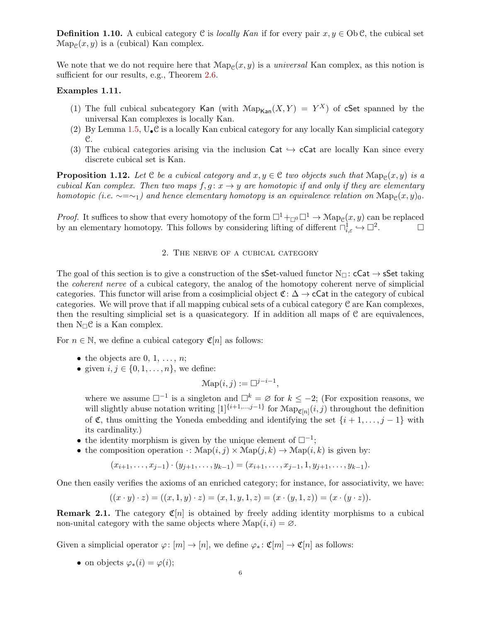**Definition 1.10.** A cubical category C is *locally Kan* if for every pair  $x, y \in Ob C$ , the cubical set  $\text{Map}_{\mathcal{C}}(x, y)$  is a (cubical) Kan complex.

We note that we do not require here that  $\text{Map}_{\mathcal{C}}(x, y)$  is a *universal* Kan complex, as this notion is sufficient for our results, e.g., Theorem [2.6.](#page-8-0)

## <span id="page-5-1"></span>Examples 1.11.

- (1) The full cubical subcategory Kan (with  $\mathrm{Map}_{\text{Kan}}(X, Y) = Y^X$ ) of cSet spanned by the universal Kan complexes is locally Kan.
- (2) By Lemma [1.5,](#page-3-0)  $U_{\bullet} \mathcal{C}$  is a locally Kan cubical category for any locally Kan simplicial category C.
- (3) The cubical categories arising via the inclusion Cat  $\hookrightarrow$  cCat are locally Kan since every discrete cubical set is Kan.

**Proposition 1.12.** Let  $C$  be a cubical category and  $x, y \in C$  two objects such that  $\text{Map}_{C}(x, y)$  is a cubical Kan complex. Then two maps  $f, g: x \to y$  are homotopic if and only if they are elementary homotopic (i.e.  $\sim = \sim_1$ ) and hence elementary homotopy is an equivalence relation on  $\mathrm{Map}_{\mathcal{C}}(x, y)_0$ .

*Proof.* It suffices to show that every homotopy of the form  $\Box^1 +_{\Box^0} \Box^1 \to \mathcal{M}$ ap<sub>C</sub> $(x, y)$  can be replaced by an elementary homotopy. This follows by considering lifting of different  $\Box_{i,\varepsilon}^{\mathbf{i}} \hookrightarrow \Box^2$  $\Box$ 

#### 2. The nerve of a cubical category

<span id="page-5-0"></span>The goal of this section is to give a construction of the **SSet**-valued functor  $N_{\Box}$ : **cCat**  $\rightarrow$  **SSet** taking the coherent nerve of a cubical category, the analog of the homotopy coherent nerve of simplicial categories. This functor will arise from a cosimplicial object  $\mathfrak{C} : \Delta \to \mathsf{cCat}$  in the category of cubical categories. We will prove that if all mapping cubical sets of a cubical category C are Kan complexes, then the resulting simplicial set is a quasicategory. If in addition all maps of  $\mathcal C$  are equivalences, then  $N_{\square} \mathcal{C}$  is a Kan complex.

For  $n \in \mathbb{N}$ , we define a cubical category  $\mathfrak{C}[n]$  as follows:

- the objects are  $0, 1, \ldots, n;$
- given  $i, j \in \{0, 1, \ldots, n\}$ , we define:

$$
\operatorname{Map}(i,j) := \Box^{j-i-1},
$$

where we assume  $\square^{-1}$  is a singleton and  $\square^k = \emptyset$  for  $k \leq -2$ ; (For exposition reasons, we will slightly abuse notation writing  $[1]^{i+1,\ldots,j-1}$  for  $\text{Map}_{\mathfrak{C}[n]}(i,j)$  throughout the definition of  $\mathfrak{C}$ , thus omitting the Yoneda embedding and identifying the set  $\{i+1,\ldots,j-1\}$  with its cardinality.)

- the identity morphism is given by the unique element of  $\square^{-1}$ ;
- the composition operation  $\cdot: \text{Map}(i, j) \times \text{Map}(j, k) \rightarrow \text{Map}(i, k)$  is given by:

$$
(x_{i+1},\ldots,x_{j-1})\cdot(y_{j+1},\ldots,y_{k-1})=(x_{i+1},\ldots,x_{j-1},1,y_{j+1},\ldots,y_{k-1}).
$$

One then easily verifies the axioms of an enriched category; for instance, for associativity, we have:

$$
((x \cdot y) \cdot z) = ((x, 1, y) \cdot z) = (x, 1, y, 1, z) = (x \cdot (y, 1, z)) = (x \cdot (y \cdot z)).
$$

**Remark 2.1.** The category  $\mathfrak{C}[n]$  is obtained by freely adding identity morphisms to a cubical non-unital category with the same objects where  $\text{Map}(i, i) = \emptyset$ .

Given a simplicial operator  $\varphi: [m] \to [n]$ , we define  $\varphi_*: \mathfrak{C}[m] \to \mathfrak{C}[n]$  as follows:

• on objects  $\varphi_*(i) = \varphi(i);$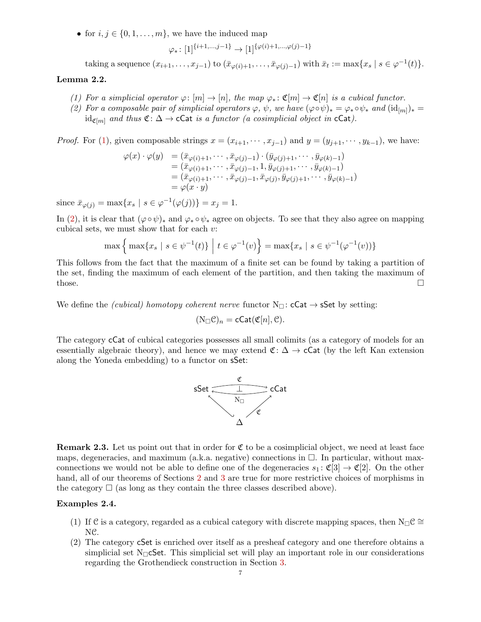• for  $i, j \in \{0, 1, \ldots, m\}$ , we have the induced map

$$
\varphi_*\colon [1]^{\{i+1,\ldots,j-1\}}\to [1]^{\{\varphi(i)+1,\ldots,\varphi(j)-1\}}
$$

taking a sequence  $(x_{i+1},...,x_{j-1})$  to  $(\bar{x}_{\varphi(i)+1},..., \bar{x}_{\varphi(j)-1})$  with  $\bar{x}_t := \max\{x_s \mid s \in \varphi^{-1}(t)\}.$ 

## <span id="page-6-0"></span>Lemma 2.2.

- (1) For a simplicial operator  $\varphi: [m] \to [n]$ , the map  $\varphi_*: \mathfrak{C}[m] \to \mathfrak{C}[n]$  is a cubical functor.
- <span id="page-6-1"></span>(2) For a composable pair of simplicial operators  $\varphi$ ,  $\psi$ , we have  $(\varphi \circ \psi)_* = \varphi_* \circ \psi_*$  and  $(\mathrm{id}_{[m]})_* =$ id<sub>C[m]</sub> and thus  $\mathfrak{C}: \Delta \to \mathsf{cCat}$  is a functor (a cosimplicial object in  $\mathsf{cCat}$ ).

*Proof.* For [\(1\)](#page-6-0), given composable strings  $x = (x_{i+1}, \dots, x_{j-1})$  and  $y = (y_{j+1}, \dots, y_{k-1})$ , we have:

$$
\varphi(x) \cdot \varphi(y) = (\bar{x}_{\varphi(i)+1}, \cdots, \bar{x}_{\varphi(j)-1}) \cdot (\bar{y}_{\varphi(j)+1}, \cdots, \bar{y}_{\varphi(k)-1})
$$
  
\n
$$
= (\bar{x}_{\varphi(i)+1}, \cdots, \bar{x}_{\varphi(j)-1}, 1, \bar{y}_{\varphi(j)+1}, \cdots, \bar{y}_{\varphi(k)-1})
$$
  
\n
$$
= (\bar{x}_{\varphi(i)+1}, \cdots, \bar{x}_{\varphi(j)-1}, \bar{x}_{\varphi(j)}, \bar{y}_{\varphi(j)+1}, \cdots, \bar{y}_{\varphi(k)-1})
$$
  
\n
$$
= \varphi(x \cdot y)
$$

since  $\bar{x}_{\varphi(j)} = \max\{x_s \mid s \in \varphi^{-1}(\varphi(j))\} = x_j = 1.$ 

In [\(2\)](#page-6-1), it is clear that  $(\varphi \circ \psi)_*$  and  $\varphi_* \circ \psi_*$  agree on objects. To see that they also agree on mapping cubical sets, we must show that for each  $v$ :

$$
\max \left\{ \max \{ x_s \mid s \in \psi^{-1}(t) \} \; \middle| \; t \in \varphi^{-1}(v) \right\} = \max \{ x_s \mid s \in \psi^{-1}(\varphi^{-1}(v)) \}
$$

This follows from the fact that the maximum of a finite set can be found by taking a partition of the set, finding the maximum of each element of the partition, and then taking the maximum of those.  $\square$ 

We define the *(cubical) homotopy coherent nerve* functor  $N_{\square}$ : **cCat**  $\rightarrow$  **sSet** by setting:

$$
(\mathrm{N}_{\square} \mathcal{C})_n = \mathsf{cCat}(\mathfrak{C}[n], \mathcal{C}).
$$

The category cCat of cubical categories possesses all small colimits (as a category of models for an essentially algebraic theory), and hence we may extend  $\mathfrak{C}:\Delta\to\mathsf{cCat}$  (by the left Kan extension along the Yoneda embedding) to a functor on sSet:



**Remark 2.3.** Let us point out that in order for  $\mathfrak{C}$  to be a cosimplicial object, we need at least face maps, degeneracies, and maximum (a.k.a. negative) connections in  $\Box$ . In particular, without maxconnections we would not be able to define one of the degeneracies  $s_1 : \mathfrak{C}[3] \to \mathfrak{C}[2]$ . On the other hand, all of our theorems of Sections [2](#page-5-0) and [3](#page-12-0) are true for more restrictive choices of morphisms in the category  $\Box$  (as long as they contain the three classes described above).

### Examples 2.4.

- (1) If C is a category, regarded as a cubical category with discrete mapping spaces, then  $N_{\Box}C \cong$ NC.
- (2) The category cSet is enriched over itself as a presheaf category and one therefore obtains a simplicial set  $N_{\Box}$ CSet. This simplicial set will play an important role in our considerations regarding the Grothendieck construction in Section [3.](#page-12-0)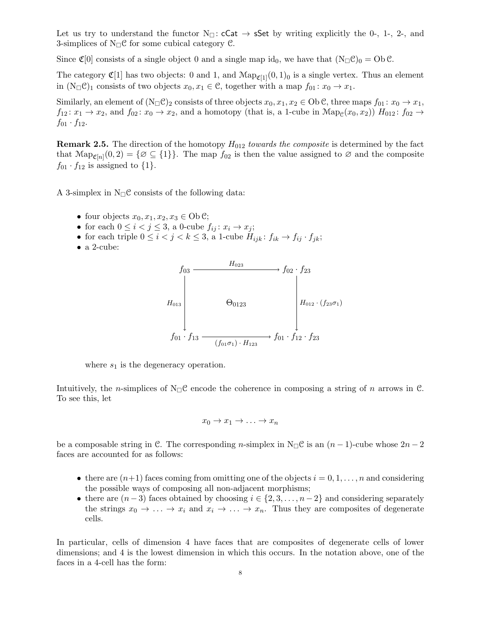Let us try to understand the functor  $N_{\square}$ : cCat  $\rightarrow$  sSet by writing explicitly the 0-, 1-, 2-, and 3-simplices of  $N_{\square}$ C for some cubical category C.

Since  $\mathfrak{C}[0]$  consists of a single object 0 and a single map id<sub>0</sub>, we have that  $(N_{\square} \mathfrak{C})_0 = \text{Ob } \mathfrak{C}$ .

The category  $\mathfrak{C}[1]$  has two objects: 0 and 1, and  $\text{Map}_{\mathfrak{C}[1]}(0,1)_0$  is a single vertex. Thus an element in  $(N_{\square} \mathcal{C})_1$  consists of two objects  $x_0, x_1 \in \mathcal{C}$ , together with a map  $f_{01}: x_0 \to x_1$ .

Similarly, an element of  $(N_{\square} \mathcal{C})_2$  consists of three objects  $x_0, x_1, x_2 \in \text{Ob } \mathcal{C}$ , three maps  $f_{01}: x_0 \to x_1$ ,  $f_{12}: x_1 \to x_2$ , and  $f_{02}: x_0 \to x_2$ , and a homotopy (that is, a 1-cube in  $\text{Map}_{\mathcal{C}}(x_0, x_2)$ )  $H_{012}: f_{02} \to$  $f_{01} \cdot f_{12}$ .

**Remark 2.5.** The direction of the homotopy  $H_{012}$  towards the composite is determined by the fact that  $\text{Map}_{\mathfrak{C}[n]}(0,2) = \{ \varnothing \subseteq \{1\} \}.$  The map  $f_{02}$  is then the value assigned to  $\varnothing$  and the composite  $f_{01} \cdot f_{12}$  is assigned to  $\{1\}.$ 

A 3-simplex in  $N_{\square}$ C consists of the following data:

- four objects  $x_0, x_1, x_2, x_3 \in \text{Ob } \mathcal{C}$ ;
- for each  $0 \leq i < j \leq 3$ , a 0-cube  $f_{ij}: x_i \to x_j$ ;
- for each triple  $0 \leq i < j < k \leq 3$ , a 1-cube  $H_{ijk}: f_{ik} \to f_{ij} \cdot f_{jk};$
- a 2-cube:



where  $s_1$  is the degeneracy operation.

Intuitively, the *n*-simplices of  $N_{\square}C$  encode the coherence in composing a string of *n* arrows in C. To see this, let

$$
x_0 \to x_1 \to \ldots \to x_n
$$

be a composable string in C. The corresponding n-simplex in  $N_{\square}C$  is an  $(n-1)$ -cube whose  $2n-2$ faces are accounted for as follows:

- there are  $(n+1)$  faces coming from omitting one of the objects  $i = 0, 1, \ldots, n$  and considering the possible ways of composing all non-adjacent morphisms;
- there are  $(n-3)$  faces obtained by choosing  $i \in \{2, 3, \ldots, n-2\}$  and considering separately the strings  $x_0 \to \ldots \to x_i$  and  $x_i \to \ldots \to x_n$ . Thus they are composites of degenerate cells.

In particular, cells of dimension 4 have faces that are composites of degenerate cells of lower dimensions; and 4 is the lowest dimension in which this occurs. In the notation above, one of the faces in a 4-cell has the form: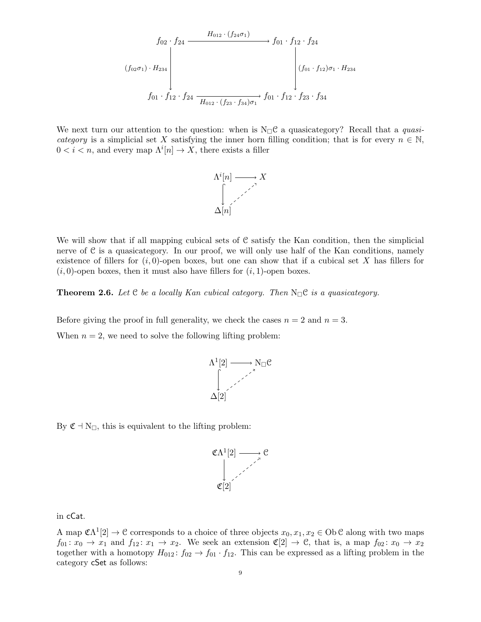$$
f_{02} \cdot f_{24} \xrightarrow{H_{012} \cdot (f_{24}\sigma_1)} f_{01} \cdot f_{12} \cdot f_{24}
$$
\n
$$
(f_{02}\sigma_1) \cdot H_{234}
$$
\n
$$
f_{01} \cdot f_{12} \cdot f_{24} \xrightarrow{H_{012} \cdot (f_{23} \cdot f_{34})\sigma_1} f_{01} \cdot f_{12} \cdot f_{23} \cdot f_{34}
$$

We next turn our attention to the question: when is  $N_{\Box}C$  a quasicategory? Recall that a *quasi*category is a simplicial set X satisfying the inner horn filling condition; that is for every  $n \in \mathbb{N}$ ,  $0 < i < n$ , and every map  $\Lambda^{i}[n] \to X$ , there exists a filler



We will show that if all mapping cubical sets of  $C$  satisfy the Kan condition, then the simplicial nerve of  $C$  is a quasicategory. In our proof, we will only use half of the Kan conditions, namely existence of fillers for  $(i, 0)$ -open boxes, but one can show that if a cubical set X has fillers for  $(i, 0)$ -open boxes, then it must also have fillers for  $(i, 1)$ -open boxes.

<span id="page-8-0"></span>**Theorem 2.6.** Let  $C$  be a locally Kan cubical category. Then  $N_{\square}C$  is a quasicategory.

Before giving the proof in full generality, we check the cases  $n = 2$  and  $n = 3$ .

When  $n = 2$ , we need to solve the following lifting problem:



By  $\mathfrak{C} \dashv N_{\square}$ , this is equivalent to the lifting problem:



in cCat.

A map  $\mathfrak{C}\Lambda^1[2]\to\mathfrak{C}$  corresponds to a choice of three objects  $x_0, x_1, x_2\in\mathcal{O}b\,\mathfrak{C}$  along with two maps  $f_{01}: x_0 \to x_1$  and  $f_{12}: x_1 \to x_2$ . We seek an extension  $\mathfrak{C}[2] \to \mathfrak{C}$ , that is, a map  $f_{02}: x_0 \to x_2$ together with a homotopy  $H_{012}$ :  $f_{02} \rightarrow f_{01} \cdot f_{12}$ . This can be expressed as a lifting problem in the category cSet as follows: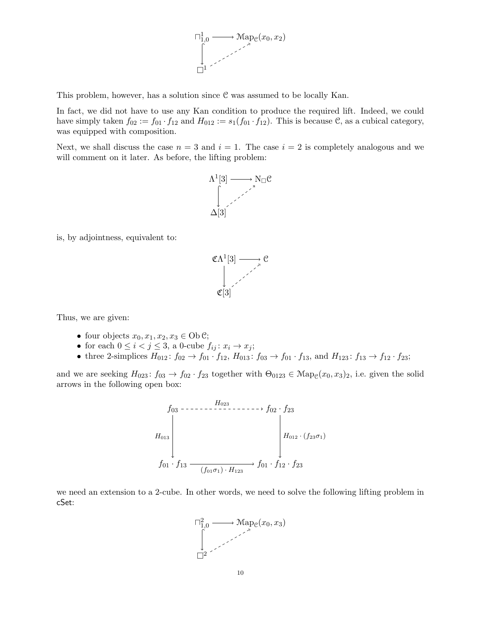

This problem, however, has a solution since C was assumed to be locally Kan.

In fact, we did not have to use any Kan condition to produce the required lift. Indeed, we could have simply taken  $f_{02} := f_{01} \cdot f_{12}$  and  $H_{012} := s_1(f_{01} \cdot f_{12})$ . This is because C, as a cubical category, was equipped with composition.

Next, we shall discuss the case  $n = 3$  and  $i = 1$ . The case  $i = 2$  is completely analogous and we will comment on it later. As before, the lifting problem:



is, by adjointness, equivalent to:



Thus, we are given:

- four objects  $x_0, x_1, x_2, x_3 \in \text{Ob } \mathcal{C}$ ;
- for each  $0 \leq i < j \leq 3$ , a 0-cube  $f_{ij}: x_i \to x_j$ ;
- three 2-simplices  $H_{012}$ :  $f_{02} \rightarrow f_{01} \cdot f_{12}$ ,  $H_{013}$ :  $f_{03} \rightarrow f_{01} \cdot f_{13}$ , and  $H_{123}$ :  $f_{13} \rightarrow f_{12} \cdot f_{23}$ ;

and we are seeking  $H_{023}$ :  $f_{03} \to f_{02} \cdot f_{23}$  together with  $\Theta_{0123} \in \text{Map}_{\mathcal{C}}(x_0, x_3)_2$ , i.e. given the solid arrows in the following open box:



we need an extension to a 2-cube. In other words, we need to solve the following lifting problem in cSet:

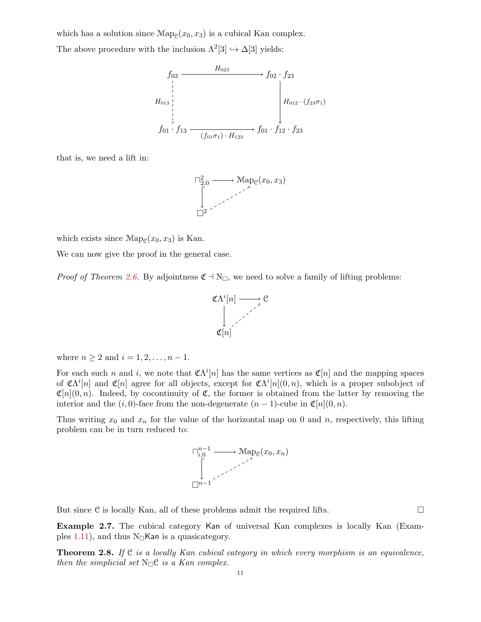which has a solution since  $\text{Map}_{\mathcal{C}}(x_0, x_3)$  is a cubical Kan complex. The above procedure with the inclusion  $\Lambda^2[3] \hookrightarrow \Delta[3]$  yields:



that is, we need a lift in:



which exists since  $\text{Map}_{\mathcal{C}}(x_0, x_3)$  is Kan.

We can now give the proof in the general case.

*Proof of Theorem [2.6.](#page-8-0)* By adjointness  $\mathfrak{C} \dashv N_{\square}$ , we need to solve a family of lifting problems:



where  $n \ge 2$  and  $i = 1, 2, ..., n - 1$ .

For each such n and i, we note that  $\mathfrak{C}\Lambda^{i}[n]$  has the same vertices as  $\mathfrak{C}[n]$  and the mapping spaces of  $\mathfrak{C}\Lambda^{i}[n]$  and  $\mathfrak{C}[n]$  agree for all objects, except for  $\mathfrak{C}\Lambda^{i}[n](0,n)$ , which is a proper subobject of  $\mathfrak{C}[n](0,n)$ . Indeed, by cocontinuity of  $\mathfrak{C}$ , the former is obtained from the latter by removing the interior and the  $(i, 0)$ -face from the non-degenerate  $(n - 1)$ -cube in  $\mathfrak{C}[n](0, n)$ .

Thus writing  $x_0$  and  $x_n$  for the value of the horizontal map on 0 and n, respectively, this lifting problem can be in turn reduced to:



But since  $\mathcal C$  is locally Kan, all of these problems admit the required lifts.  $\Box$ 

Example 2.7. The cubical category Kan of universal Kan complexes is locally Kan (Exam-ples [1.11\)](#page-5-1), and thus  $N_{\square}$ Kan is a quasicategory.

<span id="page-10-0"></span>**Theorem 2.8.** If  $C$  is a locally Kan cubical category in which every morphism is an equivalence, then the simplicial set  $N_{\square}$ <sup>e</sup> is a Kan complex.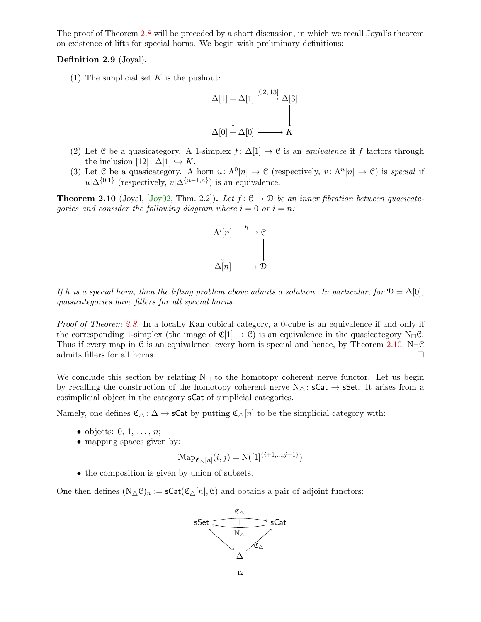The proof of Theorem [2.8](#page-10-0) will be preceded by a short discussion, in which we recall Joyal's theorem on existence of lifts for special horns. We begin with preliminary definitions:

## Definition 2.9 (Joyal).

(1) The simplicial set  $K$  is the pushout:



- (2) Let C be a quasicategory. A 1-simplex  $f: \Delta[1] \to \mathcal{C}$  is an *equivalence* if f factors through the inclusion  $[12] : \Delta[1] \hookrightarrow K$ .
- (3) Let C be a quasicategory. A horn  $u: \Lambda^0[n] \to \mathcal{C}$  (respectively,  $v: \Lambda^n[n] \to \mathcal{C}$ ) is special if  $u|\Delta^{\{0,1\}}$  (respectively,  $v|\Delta^{\{n-1,n\}}$ ) is an equivalence.

<span id="page-11-0"></span>**Theorem 2.10** (Joyal, [\[Joy02,](#page-18-7) Thm. 2.2]). Let  $f: \mathcal{C} \to \mathcal{D}$  be an inner fibration between quasicategories and consider the following diagram where  $i = 0$  or  $i = n$ :



If h is a special horn, then the lifting problem above admits a solution. In particular, for  $\mathcal{D} = \Delta[0],$ quasicategories have fillers for all special horns.

Proof of Theorem [2.8.](#page-10-0) In a locally Kan cubical category, a 0-cube is an equivalence if and only if the corresponding 1-simplex (the image of  $\mathfrak{C}[1] \to \mathfrak{C}$ ) is an equivalence in the quasicategory N<sub>O</sub>C. Thus if every map in C is an equivalence, every horn is special and hence, by Theorem [2.10,](#page-11-0)  $N_{\Box} \mathcal{C}$ admits fillers for all horns.

We conclude this section by relating  $N_{\Box}$  to the homotopy coherent nerve functor. Let us begin by recalling the construction of the homotopy coherent nerve  $N_{\triangle}$ : sCat  $\rightarrow$  sSet. It arises from a cosimplicial object in the category sCat of simplicial categories.

Namely, one defines  $\mathfrak{C}_{\Delta} : \Delta \to \mathsf{sCat}$  by putting  $\mathfrak{C}_{\Delta}[n]$  to be the simplicial category with:

- objects:  $0, 1, \ldots, n$ ;
- mapping spaces given by:

$$
\mathrm{Map}_{\mathfrak{C}_{\triangle}[n]}(i,j) = \mathrm{N}([1]^{\{i+1,\dots,j-1\}})
$$

• the composition is given by union of subsets.

One then defines  $(N_\Delta \mathcal{C})_n := \mathsf{sCat}(\mathfrak{C}_\Delta[n], \mathcal{C})$  and obtains a pair of adjoint functors:

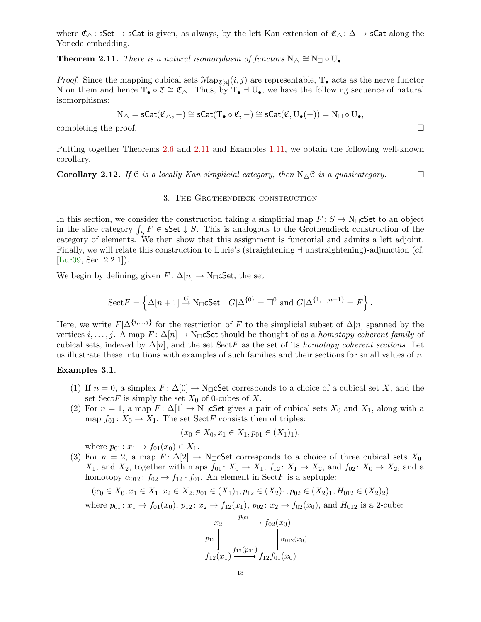where  $\mathfrak{C}_{\Delta}$ : sSet  $\rightarrow$  sCat is given, as always, by the left Kan extension of  $\mathfrak{C}_{\Delta}$ :  $\Delta \rightarrow$  sCat along the Yoneda embedding.

<span id="page-12-1"></span>**Theorem 2.11.** There is a natural isomorphism of functors  $N_{\Delta} \cong N_{\Box} \circ U_{\bullet}$ .

*Proof.* Since the mapping cubical sets  $\text{Map}_{\mathfrak{C}[n]}(i,j)$  are representable,  $T_{\bullet}$  acts as the nerve functor N on them and hence  $T_{\bullet} \circ \mathfrak{C} \cong \mathfrak{C}_{\triangle}$ . Thus, by  $T_{\bullet} \dashv U_{\bullet}$ , we have the following sequence of natural isomorphisms:

$$
\mathrm{N}_\triangle=\mathsf{sCat}(\mathfrak{C}_\triangle,-)\cong \mathsf{sCat}(\mathrm{T}_\bullet\circ \mathfrak{C},-)\cong \mathsf{sCat}(\mathfrak{C},\mathrm{U}_\bullet(-))=\mathrm{N}_\square\circ \mathrm{U}_\bullet,
$$

completing the proof.  $\Box$ 

Putting together Theorems [2.6](#page-8-0) and [2.11](#page-12-1) and Examples [1.11,](#page-5-1) we obtain the following well-known corollary.

<span id="page-12-0"></span>**Corollary 2.12.** If  $C$  is a locally Kan simplicial category, then  $N_{\Delta}C$  is a quasicategory.

### 3. The Grothendieck construction

In this section, we consider the construction taking a simplicial map  $F: S \to N_{\square}$  CSet to an object in the slice category  $\int_S F \in \mathsf{sSet} \downarrow S$ . This is analogous to the Grothendieck construction of the category of elements. We then show that this assignment is functorial and admits a left adjoint. Finally, we will relate this construction to Lurie's (straightening  $\dagger$  unstraightening)-adjunction (cf. [\[Lur09,](#page-18-8) Sec. 2.2.1]).

We begin by defining, given  $F: \Delta[n] \to \mathbb{N}_{\square}$ cSet, the set

$$
\mathrm{Sect} F=\left\{\Delta[n+1]\stackrel{G}{\to}\mathrm{N}_\square \textsf{cSet}\ \middle|\ G|\Delta^{\{0\}}=\square^0\ \text{and}\ G|\Delta^{\{1,\dots,n+1\}}=F\right\}.
$$

Here, we write  $F|\Delta^{\{i,\dots,j\}}$  for the restriction of F to the simplicial subset of  $\Delta[n]$  spanned by the vertices *i*, ..., *j*. A map  $F: \Delta[n] \to \mathbb{N}_{\square}$  Set should be thought of as a *homotopy coherent family* of cubical sets, indexed by  $\Delta[n]$ , and the set SectF as the set of its homotopy coherent sections. Let us illustrate these intuitions with examples of such families and their sections for small values of  $n$ .

#### Examples 3.1.

- (1) If  $n = 0$ , a simplex  $F: \Delta[0] \to N_{\square}$  CSet corresponds to a choice of a cubical set X, and the set SectF is simply the set  $X_0$  of 0-cubes of X.
- (2) For  $n = 1$ , a map  $F: \Delta[1] \to \mathbb{N}_{\square}$  Set gives a pair of cubical sets  $X_0$  and  $X_1$ , along with a map  $f_{01}$ :  $X_0 \to X_1$ . The set SectF consists then of triples:

$$
(x_0 \in X_0, x_1 \in X_1, p_{01} \in (X_1)_1),
$$

where  $p_{01} : x_1 \to f_{01}(x_0) \in X_1$ .

(3) For  $n = 2$ , a map  $F: \Delta[2] \to N_{\square}$  Set corresponds to a choice of three cubical sets  $X_0$ ,  $X_1$ , and  $X_2$ , together with maps  $f_{01} : X_0 \to X_1$ ,  $f_{12} : X_1 \to X_2$ , and  $f_{02} : X_0 \to X_2$ , and a homotopy  $\alpha_{012}$ :  $f_{02} \rightarrow f_{12} \cdot f_{01}$ . An element in SectF is a septuple:

$$
(x_0 \in X_0, x_1 \in X_1, x_2 \in X_2, p_{01} \in (X_1)_1, p_{12} \in (X_2)_1, p_{02} \in (X_2)_1, H_{012} \in (X_2)_2)
$$

where  $p_{01} : x_1 \to f_{01}(x_0), p_{12} : x_2 \to f_{12}(x_1), p_{02} : x_2 \to f_{02}(x_0)$ , and  $H_{012}$  is a 2-cube:

$$
x_2 \xrightarrow{p_{02}} f_{02}(x_0)
$$
  

$$
p_{12} \downarrow \qquad \qquad f_{12}(p_{01}) \downarrow \alpha_{012}(x_0)
$$
  

$$
f_{12}(x_1) \xrightarrow{f_{12}(p_{01})} f_{12} f_{01}(x_0)
$$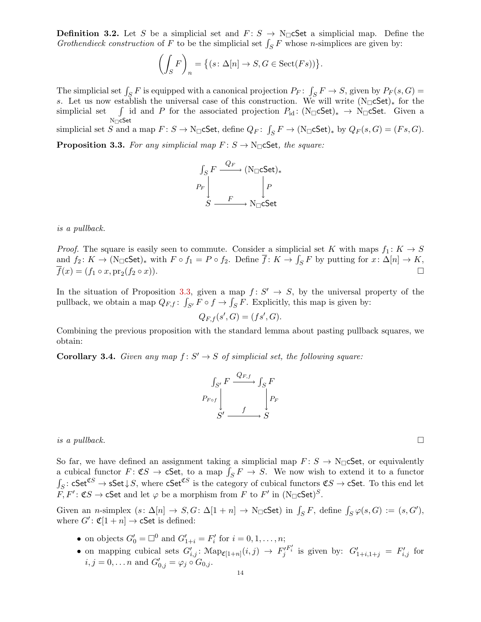**Definition 3.2.** Let S be a simplicial set and  $F: S \to N_{\square}$  cSet a simplicial map. Define the Grothendieck construction of F to be the simplicial set  $\int_S F$  whose n-simplices are given by:

$$
\left(\int_{S} F\right)_{n} = \left\{ (s \colon \Delta[n] \to S, G \in \text{Sect}(Fs)) \right\}.
$$

The simplicial set  $\int_S F$  is equipped with a canonical projection  $P_F: \int_S F \to S$ , given by  $P_F(s, G) =$ s. Let us now establish the universal case of this construction. We will write  $(N_\square cSet)_*$  for the simplicial set  $N_{\square}$ cSet id and P for the associated projection  $P_{\rm id}$ : (N<sub> $\Box$ </sub>cSet)<sub>\*</sub> → N<sub> $\Box$ </sub>cSet. Given a

<span id="page-13-0"></span>simplicial set S and a map  $F: S \to \mathbb{N}_{\square}$ cSet, define  $Q_F: \int_S F \to (\mathbb{N}_{\square}$ cSet)<sub>\*</sub> by  $Q_F(s, G) = (Fs, G)$ . **Proposition 3.3.** For any simplicial map  $F: S \to N_{\square}$  Set, the square:

$$
\begin{array}{cccccccc}\n\text{Lipole} & \text{Lipole} & \text{Lipole} & \text{Lipole} \\
\text{Lipole} & \text{Lipole} & \text{Lipole} & \text{Lipole} & \text{Lipole} \\
\text{Lipole} & \text{Lipole} & \text{Lipole} & \text{Lipole} & \text{Lipole} \\
\text{Lipole} & \text{Lipole} & \text{Lipole} & \text{Lipole} & \text{Lipole} & \text{Lipole} \\
\text{Lipole} & \text{Lipole} & \text{Lipole} & \text{Lipole} & \text{Lipole} & \text{Lipole} \\
\text{Lipole} & \text{Lipole} & \text{Lipole} & \text{Lipole} & \text{Lipole} & \text{Lipole} & \text{Lipole} \\
\text{Lipole} & \text{Lipole} & \text{Lipole} & \text{Lipole} & \text{Lipole} & \text{Lipole} & \text{Lipole} & \text{Lipole} & \text{Lipole} \\
\text{Lipole} & \text{Lipole} & \text{Lipole} & \text{Lipole} & \text{Lipole} & \text{Lipole} & \text{Lipole} & \text{Lipole} & \text{Lipole} & \text{Lipole} \\
\text{Lipole} & \text{Lipole} & \text{Lipole} & \text{Lipole} & \text{Lipole} & \text{Lipole} & \text{Lipole} & \text{Lipole} & \text{Lipole} & \text{Lipole} & \text{Lipole} & \text{Lipole} & \text{Lipole} \\
\text{Lipole} & \text{Lipole} & \text{Lipole} & \text{Lipole} & \text{Lipole} & \text{Lipole} & \text{Lipole} & \text{Lipole} & \text{Lipole} & \text{Lipole} & \text{Lipole} & \text{Lipole} & \text{Lipole} & \text{Lipole} & \text{Lipole} & \text{Lipole} & \text{Lipole} & \text{Lipole} & \text{Lipole} & \text{Lipole} & \text{Lipole} & \text{Lipole} & \text{Lipole} & \text{Lipole} & \text{Lipole} & \text{Lipole} & \text{Lipole} & \text{Lipole} & \text{Lipole}
$$



is a pullback.

*Proof.* The square is easily seen to commute. Consider a simplicial set K with maps  $f_1: K \to S$ and  $f_2: K \to (\text{N}_{\square} \text{cSet})_*$  with  $F \circ f_1 = P \circ f_2$ . Define  $\overline{f}: K \to \int_S F$  by putting for  $x: \Delta[n] \to K$ ,  $\overline{f}(x) = (f_1 \circ x, \text{pr}_2(f_2 \circ x)).$  $(f_2 \circ x)$ ).

In the situation of Proposition [3.3,](#page-13-0) given a map  $f: S' \rightarrow S$ , by the universal property of the pullback, we obtain a map  $Q_{F,f}$ :  $\int_{S'} F \circ f \to \int_S F$ . Explicitly, this map is given by:

$$
Q_{F,f}(s',G) = (fs',G).
$$

Combining the previous proposition with the standard lemma about pasting pullback squares, we obtain:

**Corollary 3.4.** Given any map  $f: S' \to S$  of simplicial set, the following square:

$$
\begin{array}{c}\n\int_{S'} F \xrightarrow{Q_{F,f}} \int_S F \\
P_{F \circ f} \\
\downarrow \searrow f \\
S' \xrightarrow{f} S\n\end{array}
$$

is a pullback.  $\square$ 

So far, we have defined an assignment taking a simplicial map  $F: S \to N_{\square}$  Set, or equivalently a cubical functor  $F: \mathfrak{C} \mathfrak{S} \to \mathfrak{S}$  a map  $\int_S F \to S$ . We now wish to extend it to a functor  $\int_S$ : cSet<sup>CS</sup> → sSet $\downarrow$ S, where cSet<sup>CS</sup> is the category of cubical functors  $\mathfrak{C}S \to \mathsf{cSet}$ . To this end let  $\tilde{F}, F' : \mathfrak{C}S \to \mathsf{cSet}$  and let  $\varphi$  be a morphism from F to F' in  $(N_{\square} \mathsf{cSet})^S$ .

Given an n-simplex  $(s: \Delta[n] \to S, G: \Delta[1+n] \to \mathbb{N}_{\Box} \mathsf{cSet}$  in  $\int_S F$ , define  $\int_S \varphi(s, G) := (s, G')$ , where  $G'$ :  $\mathfrak{C}[1+n] \to \mathsf{cSet}$  is defined:

- on objects  $G'_0 = \Box^0$  and  $G'_{1+i} = F'_i$  for  $i = 0, 1, \ldots, n$ ;
- on mapping cubical sets  $G'_{i,j}$ :  $\text{Map}_{\mathfrak{C}[1+n]}(i,j) \rightarrow F'_{j}$  $F'_i$  is given by:  $G'_{1+i,1+j} = F'_{i,j}$  for  $i, j = 0, \dots n$  and  $G'_{0,j} = \varphi_j \circ G_{0,j}$ .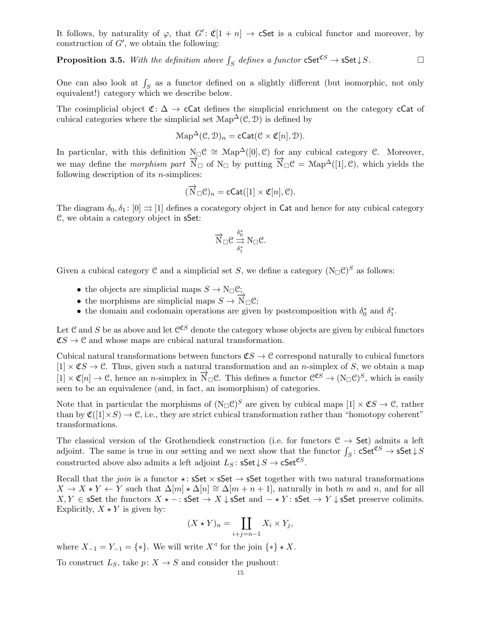It follows, by naturality of  $\varphi$ , that  $G' : \mathfrak{C}[1 + n] \to \mathsf{cSet}$  is a cubical functor and moreover, by construction of  $G'$ , we obtain the following:

**Proposition 3.5.** With the definition above  $\int_S$  defines a functor  $cSet^{\mathfrak{C}S} \to \mathsf{sSet} \downarrow S$ .

One can also look at  $\int_S$  as a functor defined on a slightly different (but isomorphic, not only equivalent!) category which we describe below.

The cosimplicial object  $\mathfrak{C}:\Delta\to\mathsf{cCat}$  defines the simplicial enrichment on the category cCat of cubical categories where the simplicial set  $\text{Map}^{\Delta}(\mathcal{C}, \mathcal{D})$  is defined by

$$
\mathrm{Map}^{\Delta}(\mathcal{C}, \mathcal{D})_n = \mathsf{cCat}(\mathcal{C} \times \mathfrak{C}[n], \mathcal{D}).
$$

In particular, with this definition  $N_{\Box} \mathcal{C} \cong Map^{\Delta}([0], \mathcal{C})$  for any cubical category  $\mathcal{C}$ . Moreover, we may define the *morphism part*  $\vec{N}_{\Box}$  of  $N_{\Box}$  by putting  $\vec{N}_{\Box} \mathcal{C} = Map^{\Delta}([1], \mathcal{C})$ , which yields the following description of its  $n$ -simplices:

$$
(\overrightarrow{N}_{\square} \mathcal{C})_n = \text{cCat}([1] \times \mathfrak{C}[n], \mathcal{C}).
$$

The diagram  $\delta_0, \delta_1$ :  $[0] \rightrightarrows [1]$  defines a cocategory object in Cat and hence for any cubical category C, we obtain a category object in sSet:

$$
\overrightarrow{N}_{\square} \mathcal{C} \overset{\delta_0^*}{\underset{\delta_1^*}{\implies}} N_{\square} \mathcal{C}.
$$

Given a cubical category C and a simplicial set S, we define a category  $(N_{\square} \mathcal{C})^S$  as follows:

- the objects are simplicial maps  $S \to N_{\square} \mathcal{C}$ ;
- the morphisms are simplicial maps  $S \to N_{\Box}C$ ;
- the domain and codomain operations are given by postcomposition with  $\delta_0^*$  and  $\delta_1^*$ .

Let C and S be as above and let  $\mathcal{C}^{\mathfrak{C}S}$  denote the category whose objects are given by cubical functors  $\mathfrak{C}S \to \mathfrak{C}$  and whose maps are cubical natural transformation.

Cubical natural transformations between functors  $\mathfrak{C}S \to \mathfrak{C}$  correspond naturally to cubical functors  $[1] \times \mathfrak{C} \rightarrow \mathfrak{C}$ . Thus, given such a natural transformation and an *n*-simplex of S, we obtain a map  $[1] \times \mathfrak{C}[n] \to \mathfrak{C}$ , hence an *n*-simplex in  $\overrightarrow{N}_{\Box} \mathfrak{C}$ . This defines a functor  $\mathfrak{C}^{\mathfrak{C}S} \to (\mathcal{N}_{\Box} \mathfrak{C})^S$ , which is easily seen to be an equivalence (and, in fact, an isomorphism) of categories.

Note that in particular the morphisms of  $(N_{\square} \mathcal{C})^S$  are given by cubical maps  $[1] \times \mathcal{CS} \to \mathcal{C}$ , rather than by  $\mathfrak{C}([1]\times S) \to \mathfrak{C}$ , i.e., they are strict cubical transformation rather than "homotopy coherent" transformations.

The classical version of the Grothendieck construction (i.e. for functors  $C \rightarrow$  Set) admits a left adjoint. The same is true in our setting and we next show that the functor  $\int_S$ :  $cSet^{\mathfrak{Cs}} \to \mathsf{SSet} \downarrow S$ constructed above also admits a left adjoint  $L_S$ :  $\mathsf{sSet} \downarrow S \to \mathsf{cSet}^{\mathfrak{CS}}$ .

Recall that the *join* is a functor  $\star$ : sSet  $\times$  sSet  $\to$  sSet together with two natural transformations  $X \to X \star Y \leftarrow Y$  such that  $\Delta[m] \star \Delta[n] \cong \Delta[m+n+1]$ , naturally in both m and n, and for all  $X, Y \in S$ et the functors  $X \star - : S$ et →  $X \downarrow S$ et and  $-\star Y$ : sSet → Y  $\downarrow$  sSet preserve colimits. Explicitly,  $X \star Y$  is given by:

$$
(X \star Y)_n = \coprod_{i+j=n-1} X_i \times Y_j,
$$

where  $X_{-1} = Y_{-1} = \{ * \}$ . We will write  $X^{\triangleleft}$  for the join  $\{ * \} * X$ .

To construct  $L_S$ , take  $p: X \to S$  and consider the pushout: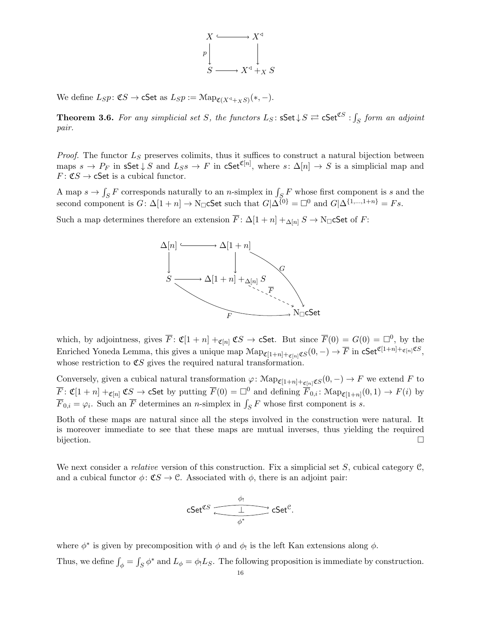

We define  $L_S p \colon \mathfrak{C} S \to \mathsf{cSet}$  as  $L_S p := \mathcal{M}ap_{\mathfrak{C}(X^{\triangleleft} +_X S)}(*, -).$ 

**Theorem 3.6.** For any simplicial set S, the functors  $L_S$ :  $\mathsf{sSet} \downarrow S \rightleftarrows \mathsf{cSet}^{\mathfrak{CS}}$  :  $\int_S$  form an adjoint pair.

*Proof.* The functor  $L<sub>S</sub>$  preserves colimits, thus it suffices to construct a natural bijection between maps  $s \to P_F$  in sSet  $\downarrow S$  and  $L_S s \to F$  in cSet<sup>C[n]</sup>, where  $s: \Delta[n] \to S$  is a simplicial map and  $F: \mathfrak{C}S \to \mathsf{cSet}$  is a cubical functor.

A map  $s \to \int_S F$  corresponds naturally to an *n*-simplex in  $\int_S F$  whose first component is s and the second component is  $G: \Delta[1+n] \to \mathbb{N}_{\square}$ CSet such that  $G|\tilde{\Delta^{\{0\}}} = \square^0$  and  $G|\Delta^{\{1,\dots,1+n\}} = Fs$ .

Such a map determines therefore an extension  $\overline{F}$ :  $\Delta[1+n] +_{\Delta[n]} S \rightarrow N_{\square}$  CSet of F:



which, by adjointness, gives  $\overline{F}$ :  $\mathfrak{C}[1+n] +_{\mathfrak{C}[n]} \mathfrak{C}S \to \mathsf{cSet}$ . But since  $\overline{F}(0) = G(0) = \Box^0$ , by the Enriched Yoneda Lemma, this gives a unique map  $\mathrm{Map}_{\mathfrak{C}[1+n]+\mathfrak{C}[n]} \mathfrak{C}S(0,-) \to \overline{F}$  in  $\mathsf{cSet}^{\mathfrak{C}[1+n]+\mathfrak{C}[n]} \mathfrak{C}S$ , whose restriction to  $\mathfrak{C}S$  gives the required natural transformation.

Conversely, given a cubical natural transformation  $\varphi \colon \mathcal{M}ap_{\mathfrak{C}[1+n]+_{\mathfrak{C}[n]}} \mathfrak{C}(0,-) \to F$  we extend F to  $\overline{F}$ :  $\mathfrak{C}[1+n] +_{\mathfrak{C}[n]} \mathfrak{C}S \to \mathsf{cSet}$  by putting  $\overline{F}(0) = \Box^0$  and defining  $\overline{F}_{0,i}$ :  $\mathfrak{Map}_{\mathfrak{C}[1+n]}(0,1) \to F(i)$  by  $\overline{F}_{0,i} = \varphi_i$ . Such an  $\overline{F}$  determines an *n*-simplex in  $\int_S F$  whose first component is *s*.

Both of these maps are natural since all the steps involved in the construction were natural. It is moreover immediate to see that these maps are mutual inverses, thus yielding the required bijection.

We next consider a *relative* version of this construction. Fix a simplicial set S, cubical category  $C$ , and a cubical functor  $\phi \colon \mathfrak{C} \mathfrak{S} \to \mathfrak{C}$ . Associated with  $\phi$ , there is an adjoint pair:

$$
\mathsf{cSet}^{\mathfrak{C}S} \xrightarrow{\phi_!} \mathsf{cSet}^{\mathfrak{C}}.
$$

where  $\phi^*$  is given by precomposition with  $\phi$  and  $\phi$  is the left Kan extensions along  $\phi$ .

Thus, we define  $\int_{\phi} = \int_{S} \phi^*$  and  $L_{\phi} = \phi_! L_S$ . The following proposition is immediate by construction.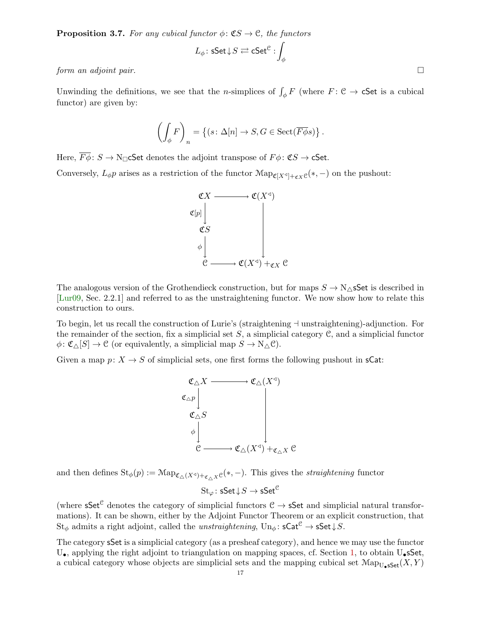**Proposition 3.7.** For any cubical functor  $\phi: \mathfrak{C}S \to \mathfrak{C}$ , the functors

$$
L_\phi\colon \mathsf{sSet} \!\downarrow \! S \rightleftarrows \mathsf{cSet}^{\mathcal C} : \int_\phi
$$

form an adjoint pair.

Unwinding the definitions, we see that the *n*-simplices of  $\int_{\phi} F$  (where  $F: \mathcal{C} \to \mathsf{cSet}$  is a cubical functor) are given by:

$$
\left(\int_{\phi} F\right)_n = \left\{ (s \colon \Delta[n] \to S, G \in \text{Sect}(\overline{F\phi}s) \right\}.
$$

Here,  $\overline{F\phi}$ :  $S \to N_{\square}$ CSet denotes the adjoint transpose of  $F\phi$ :  $\mathfrak{C}S \to \mathfrak{C}$ Set.

Conversely,  $L_{\phi}p$  arises as a restriction of the functor  $\text{Map}_{\mathfrak{C}[X^q]+_{\mathfrak{C}X}}e(\ast, -)$  on the pushout:



The analogous version of the Grothendieck construction, but for maps  $S \to N_{\Delta}$ sSet is described in [\[Lur09,](#page-18-8) Sec. 2.2.1] and referred to as the unstraightening functor. We now show how to relate this construction to ours.

To begin, let us recall the construction of Lurie's (straightening  $\dashv$  unstraightening)-adjunction. For the remainder of the section, fix a simplicial set  $S$ , a simplicial category  $\mathcal{C}$ , and a simplicial functor  $\phi \colon \mathfrak{C}_{\Delta}[S] \to \mathfrak{C}$  (or equivalently, a simplicial map  $S \to N_{\Delta} \mathfrak{C}$ ).

Given a map  $p: X \to S$  of simplicial sets, one first forms the following pushout in sCat:



and then defines  $\text{St}_{\phi}(p) := \text{Map}_{\mathfrak{C}_{\Delta}(X^{\triangleleft})+\mathfrak{C}_{\Delta}X}e(*,-).$  This gives the *straightening* functor

$$
\operatorname{St}_\varphi\colon \mathsf{sSet} \!\downarrow\! S \to \mathsf{sSet}^{\mathcal C}
$$

(where  $\mathsf{sSet}^\mathcal{C}$  denotes the category of simplicial functors  $\mathcal{C} \to \mathsf{sSet}$  and simplicial natural transformations). It can be shown, either by the Adjoint Functor Theorem or an explicit construction, that  $St_{\phi}$  admits a right adjoint, called the *unstraightening*,  $Un_{\phi} : sCat^{\mathcal{C}} \to sSet \downarrow S$ .

The category sSet is a simplicial category (as a presheaf category), and hence we may use the functor  $U_{\bullet}$ , applying the right adjoint to triangulation on mapping spaces, cf. Section [1,](#page-1-0) to obtain  $U_{\bullet}$ sSet, a cubical category whose objects are simplicial sets and the mapping cubical set  $\text{Map}_{\text{U}_\bullet\text{SSet}}(X, Y)$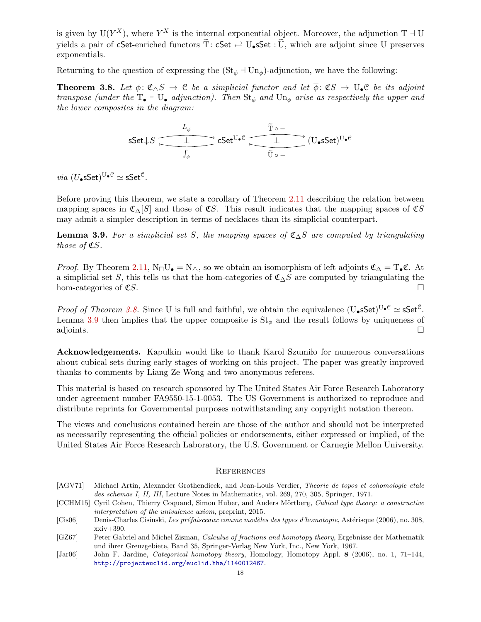is given by  $U(Y^X)$ , where  $Y^X$  is the internal exponential object. Moreover, the adjunction T  $\exists$  U yields a pair of cSet-enriched functors  $\widetilde{T}$ : cSet  $\rightleftarrows U_s$ Set :  $\widetilde{U}$ , which are adjoint since U preserves exponentials.

Returning to the question of expressing the  $(St_{\phi} \dashv Un_{\phi})$ -adjunction, we have the following:

<span id="page-17-5"></span>**Theorem 3.8.** Let  $\phi: \mathfrak{C} \setminus S \to \mathfrak{C}$  be a simplicial functor and let  $\overline{\phi}: \mathfrak{C} S \to \mathbf{U}_\bullet \mathfrak{C}$  be its adjoint transpose (under the  $T_{\bullet}$  + U<sub> $\bullet$ </sub> adjunction). Then  $St_{\phi}$  and  $Un_{\phi}$  arise as respectively the upper and the lower composites in the diagram:

$$
\mathsf{sSet} \downarrow S \xrightarrow[\int_{\overline{\phi}}]{} \mathsf{cSet}^{\mathsf{U}\bullet\mathcal{C}} \xrightarrow[\int_{\overline{\phi}}]{} \mathsf{cSet}^{\mathsf{U}\bullet\mathcal{C}} \xrightarrow[\widetilde{\mathsf{U}} \circ \neg]{} (\mathsf{U}\bullet \mathsf{sSet})^{\mathsf{U}\bullet\mathcal{C}}
$$

 $via$   $(U_{\bullet} s\mathsf{Set})^{\mathsf{U}_{\bullet} \mathfrak{C}} \simeq \mathsf{sSet}^{\mathfrak{C}}.$ 

Before proving this theorem, we state a corollary of Theorem [2.11](#page-12-1) describing the relation between mapping spaces in  $\mathfrak{C}\Lambda[S]$  and those of  $\mathfrak{C}S$ . This result indicates that the mapping spaces of  $\mathfrak{C}S$ may admit a simpler description in terms of necklaces than its simplicial counterpart.

<span id="page-17-6"></span>**Lemma 3.9.** For a simplicial set S, the mapping spaces of  $\mathfrak{C}_{\Delta}S$  are computed by triangulating those of  $\mathfrak{C}S$ .

*Proof.* By Theorem [2.11,](#page-12-1) N<sub>□</sub>U<sub>•</sub> = N<sub>△</sub>, so we obtain an isomorphism of left adjoints  $\mathfrak{C}_{\Delta} = T_{\bullet} \mathfrak{C}$ . At a simplicial set S, this tells us that the hom-categories of  $\mathfrak{C}_{\Delta}S$  are computed by triangulating the hom-categories of  $\mathfrak{C}S$ .

*Proof of Theorem [3.8.](#page-17-5)* Since U is full and faithful, we obtain the equivalence  $(U_{\bullet} sSet)^{U_{\bullet}C} \simeq sSet^C$ . Lemma [3.9](#page-17-6) then implies that the upper composite is  $St_{\phi}$  and the result follows by uniqueness of adjoints.  $\square$ 

**Acknowledgements.** Kapulkin would like to thank Karol Szumilo for numerous conversations about cubical sets during early stages of working on this project. The paper was greatly improved thanks to comments by Liang Ze Wong and two anonymous referees.

This material is based on research sponsored by The United States Air Force Research Laboratory under agreement number FA9550-15-1-0053. The US Government is authorized to reproduce and distribute reprints for Governmental purposes notwithstanding any copyright notation thereon.

The views and conclusions contained herein are those of the author and should not be interpreted as necessarily representing the official policies or endorsements, either expressed or implied, of the United States Air Force Research Laboratory, the U.S. Government or Carnegie Mellon University.

## **REFERENCES**

<span id="page-17-3"></span>[AGV71] Michael Artin, Alexander Grothendieck, and Jean-Louis Verdier, Theorie de topos et cohomologie etale des schemas I, II, III, Lecture Notes in Mathematics, vol. 269, 270, 305, Springer, 1971.

<span id="page-17-2"></span>[CCHM15] Cyril Cohen, Thierry Coquand, Simon Huber, and Anders Mörtberg, Cubical type theory: a constructive interpretation of the univalence axiom, preprint, 2015.

- <span id="page-17-1"></span>[Cis06] Denis-Charles Cisinski, Les préfaisceaux comme modèles des types d'homotopie, Astérisque (2006), no. 308, xxiv+390.
- <span id="page-17-4"></span>[GZ67] Peter Gabriel and Michel Zisman, Calculus of fractions and homotopy theory, Ergebnisse der Mathematik und ihrer Grenzgebiete, Band 35, Springer-Verlag New York, Inc., New York, 1967.
- <span id="page-17-0"></span>[Jar06] John F. Jardine, Categorical homotopy theory, Homology, Homotopy Appl. 8 (2006), no. 1, 71–144, <http://projecteuclid.org/euclid.hha/1140012467>.